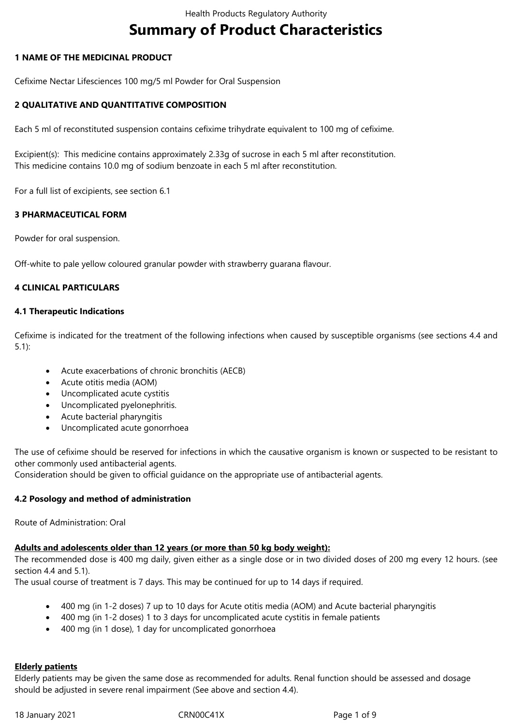# **Summary of Product Characteristics**

#### **1 NAME OF THE MEDICINAL PRODUCT**

Cefixime Nectar Lifesciences 100 mg/5 ml Powder for Oral Suspension

## **2 QUALITATIVE AND QUANTITATIVE COMPOSITION**

Each 5 ml of reconstituted suspension contains cefixime trihydrate equivalent to 100 mg of cefixime.

Excipient(s): This medicine contains approximately 2.33g of sucrose in each 5 ml after reconstitution. This medicine contains 10.0 mg of sodium benzoate in each 5 ml after reconstitution.

For a full list of excipients, see section 6.1

#### **3 PHARMACEUTICAL FORM**

Powder for oral suspension.

Off-white to pale yellow coloured granular powder with strawberry guarana flavour.

#### **4 CLINICAL PARTICULARS**

#### **4.1 Therapeutic Indications**

Cefixime is indicated for the treatment of the following infections when caused by susceptible organisms (see sections 4.4 and 5.1):

- Acute exacerbations of chronic bronchitis (AECB)
- Acute otitis media (AOM)
- Uncomplicated acute cystitis
- Uncomplicated pyelonephritis.
- Acute bacterial pharyngitis
- Uncomplicated acute gonorrhoea

The use of cefixime should be reserved for infections in which the causative organism is known or suspected to be resistant to other commonly used antibacterial agents.

Consideration should be given to official guidance on the appropriate use of antibacterial agents.

#### **4.2 Posology and method of administration**

Route of Administration: Oral

#### **Adults and adolescents older than 12 years (or more than 50 kg body weight):**

The recommended dose is 400 mg daily, given either as a single dose or in two divided doses of 200 mg every 12 hours. (see section 4.4 and 5.1).

The usual course of treatment is 7 days. This may be continued for up to 14 days if required.

- 400 mg (in 1-2 doses) 7 up to 10 days for Acute otitis media (AOM) and Acute bacterial pharyngitis
- 400 mg (in 1-2 doses) 1 to 3 days for uncomplicated acute cystitis in female patients
- 400 mg (in 1 dose), 1 day for uncomplicated gonorrhoea

#### **Elderly patients**

Elderly patients may be given the same dose as recommended for adults. Renal function should be assessed and dosage should be adjusted in severe renal impairment (See above and section 4.4).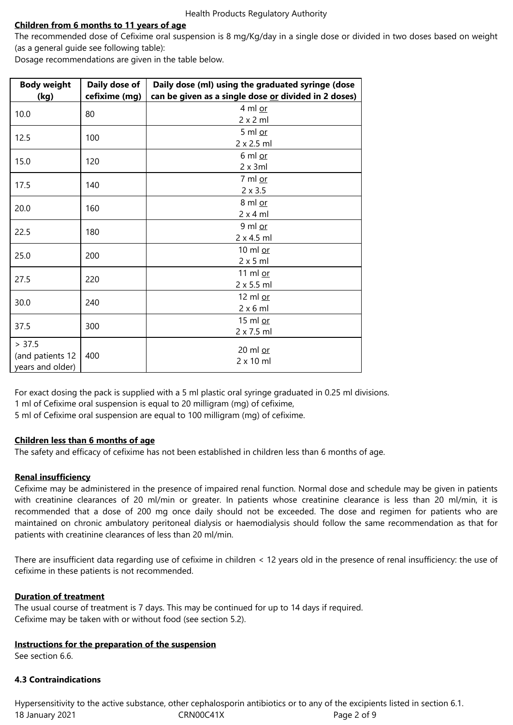## **Children from 6 months to 11 years of age**

The recommended dose of Cefixime oral suspension is 8 mg/Kg/day in a single dose or divided in two doses based on weight (as a general guide see following table):

Dosage recommendations are given in the table below.

| <b>Body weight</b><br><u>(kg)</u>              | Daily dose of<br>cefixime (mg) | Daily dose (ml) using the graduated syringe (dose<br>can be given as a single dose or divided in 2 doses) |
|------------------------------------------------|--------------------------------|-----------------------------------------------------------------------------------------------------------|
| 10.0                                           | 80                             | 4 ml or<br>2 x 2 ml                                                                                       |
| 12.5                                           | 100                            | 5 ml $or$<br>2 x 2.5 ml                                                                                   |
| 15.0                                           | 120                            | 6 ml or<br>2 x 3ml                                                                                        |
| 17.5                                           | 140                            | 7 ml or<br>$2 \times 3.5$                                                                                 |
| 20.0                                           | 160                            | 8 ml or<br>2x4ml                                                                                          |
| 22.5                                           | 180                            | 9 ml or<br>2 x 4.5 ml                                                                                     |
| 25.0                                           | 200                            | 10 ml or<br>$2 \times 5$ ml                                                                               |
| 27.5                                           | 220                            | 11 ml or<br>2 x 5.5 ml                                                                                    |
| 30.0                                           | 240                            | 12 ml or<br>$2 \times 6$ ml                                                                               |
| 37.5                                           | 300                            | 15 ml or<br>2 x 7.5 ml                                                                                    |
| > 37.5<br>(and patients 12<br>years and older) | 400                            | 20 ml or<br>$2 \times 10$ ml                                                                              |

For exact dosing the pack is supplied with a 5 ml plastic oral syringe graduated in 0.25 ml divisions. 1 ml of Cefixime oral suspension is equal to 20 milligram (mg) of cefixime,

5 ml of Cefixime oral suspension are equal to 100 milligram (mg) of cefixime.

## **Children less than 6 months of age**

The safety and efficacy of cefixime has not been established in children less than 6 months of age.

## **Renal insufficiency**

Cefixime may be administered in the presence of impaired renal function. Normal dose and schedule may be given in patients with creatinine clearances of 20 ml/min or greater. In patients whose creatinine clearance is less than 20 ml/min, it is recommended that a dose of 200 mg once daily should not be exceeded. The dose and regimen for patients who are maintained on chronic ambulatory peritoneal dialysis or haemodialysis should follow the same recommendation as that for patients with creatinine clearances of less than 20 ml/min.

There are insufficient data regarding use of cefixime in children < 12 years old in the presence of renal insufficiency: the use of cefixime in these patients is not recommended.

## **Duration of treatment**

The usual course of treatment is 7 days. This may be continued for up to 14 days if required. Cefixime may be taken with or without food (see section 5.2).

#### **Instructions for the preparation of the suspension**

See section 6.6.

#### **4.3 Contraindications**

18 January 2021 CRN00C41X Page 2 of 9 Hypersensitivity to the active substance, other cephalosporin antibiotics or to any of the excipients listed in section 6.1.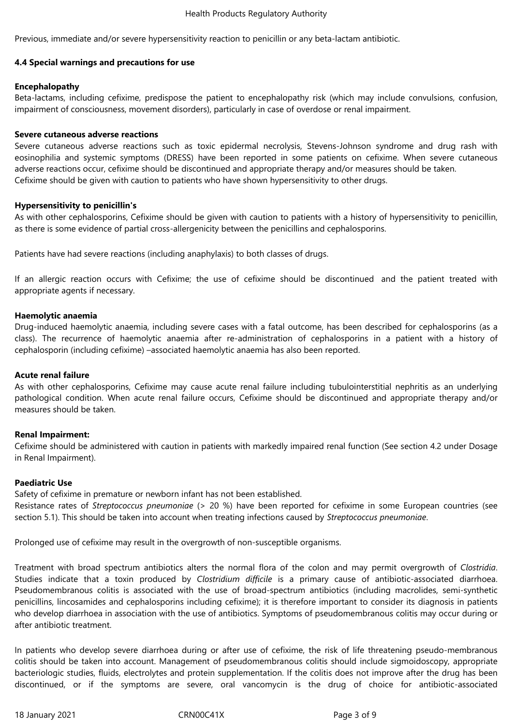Previous, immediate and/or severe hypersensitivity reaction to penicillin or any beta-lactam antibiotic.

#### **4.4 Special warnings and precautions for use**

#### **Encephalopathy**

Beta-lactams, including cefixime, predispose the patient to encephalopathy risk (which may include convulsions, confusion, impairment of consciousness, movement disorders), particularly in case of overdose or renal impairment.

#### **Severe cutaneous adverse reactions**

Severe cutaneous adverse reactions such as toxic epidermal necrolysis, Stevens-Johnson syndrome and drug rash with eosinophilia and systemic symptoms (DRESS) have been reported in some patients on cefixime. When severe cutaneous adverse reactions occur, cefixime should be discontinued and appropriate therapy and/or measures should be taken. Cefixime should be given with caution to patients who have shown hypersensitivity to other drugs.

## **Hypersensitivity to penicillin's**

As with other cephalosporins, Cefixime should be given with caution to patients with a history of hypersensitivity to penicillin, as there is some evidence of partial cross-allergenicity between the penicillins and cephalosporins.

Patients have had severe reactions (including anaphylaxis) to both classes of drugs.

If an allergic reaction occurs with Cefixime; the use of cefixime should be discontinued and the patient treated with appropriate agents if necessary.

## **Haemolytic anaemia**

Drug-induced haemolytic anaemia, including severe cases with a fatal outcome, has been described for cephalosporins (as a class). The recurrence of haemolytic anaemia after re-administration of cephalosporins in a patient with a history of cephalosporin (including cefixime) –associated haemolytic anaemia has also been reported.

#### **Acute renal failure**

As with other cephalosporins, Cefixime may cause acute renal failure including tubulointerstitial nephritis as an underlying pathological condition. When acute renal failure occurs, Cefixime should be discontinued and appropriate therapy and/or measures should be taken.

## **Renal Impairment:**

Cefixime should be administered with caution in patients with markedly impaired renal function (See section 4.2 under Dosage in Renal Impairment).

#### **Paediatric Use**

Safety of cefixime in premature or newborn infant has not been established.

Resistance rates of *Streptococcus pneumoniae* (> 20 %) have been reported for cefixime in some European countries (see section 5.1). This should be taken into account when treating infections caused by *Streptococcus pneumoniae*.

Prolonged use of cefixime may result in the overgrowth of non-susceptible organisms.

Treatment with broad spectrum antibiotics alters the normal flora of the colon and may permit overgrowth of *Clostridia*. Studies indicate that a toxin produced by *Clostridium difficile* is a primary cause of antibiotic-associated diarrhoea. Pseudomembranous colitis is associated with the use of broad-spectrum antibiotics (including macrolides, semi-synthetic penicillins, lincosamides and cephalosporins including cefixime); it is therefore important to consider its diagnosis in patients who develop diarrhoea in association with the use of antibiotics. Symptoms of pseudomembranous colitis may occur during or after antibiotic treatment.

In patients who develop severe diarrhoea during or after use of cefixime, the risk of life threatening pseudo-membranous colitis should be taken into account. Management of pseudomembranous colitis should include sigmoidoscopy, appropriate bacteriologic studies, fluids, electrolytes and protein supplementation. If the colitis does not improve after the drug has been discontinued, or if the symptoms are severe, oral vancomycin is the drug of choice for antibiotic-associated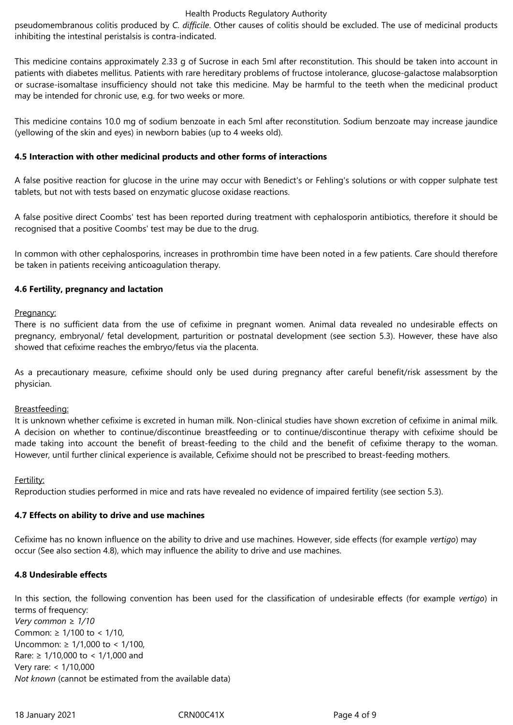#### Health Products Regulatory Authority

pseudomembranous colitis produced by *C. difficile*. Other causes of colitis should be excluded. The use of medicinal products inhibiting the intestinal peristalsis is contra-indicated.

This medicine contains approximately 2.33 g of Sucrose in each 5ml after reconstitution. This should be taken into account in patients with diabetes mellitus. Patients with rare hereditary problems of fructose intolerance, glucose-galactose malabsorption or sucrase-isomaltase insufficiency should not take this medicine. May be harmful to the teeth when the medicinal product may be intended for chronic use, e.g. for two weeks or more.

This medicine contains 10.0 mg of sodium benzoate in each 5ml after reconstitution. Sodium benzoate may increase jaundice (yellowing of the skin and eyes) in newborn babies (up to 4 weeks old).

#### **4.5 Interaction with other medicinal products and other forms of interactions**

A false positive reaction for glucose in the urine may occur with Benedict's or Fehling's solutions or with copper sulphate test tablets, but not with tests based on enzymatic glucose oxidase reactions.

A false positive direct Coombs' test has been reported during treatment with cephalosporin antibiotics, therefore it should be recognised that a positive Coombs' test may be due to the drug.

In common with other cephalosporins, increases in prothrombin time have been noted in a few patients. Care should therefore be taken in patients receiving anticoagulation therapy.

#### **4.6 Fertility, pregnancy and lactation**

#### Pregnancy:

There is no sufficient data from the use of cefixime in pregnant women. Animal data revealed no undesirable effects on pregnancy, embryonal/ fetal development, parturition or postnatal development (see section 5.3). However, these have also showed that cefixime reaches the embryo/fetus via the placenta.

As a precautionary measure, cefixime should only be used during pregnancy after careful benefit/risk assessment by the physician.

#### Breastfeeding:

It is unknown whether cefixime is excreted in human milk. Non-clinical studies have shown excretion of cefixime in animal milk. A decision on whether to continue/discontinue breastfeeding or to continue/discontinue therapy with cefixime should be made taking into account the benefit of breast-feeding to the child and the benefit of cefixime therapy to the woman. However, until further clinical experience is available, Cefixime should not be prescribed to breast-feeding mothers.

Fertility:

Reproduction studies performed in mice and rats have revealed no evidence of impaired fertility (see section 5.3).

#### **4.7 Effects on ability to drive and use machines**

Cefixime has no known influence on the ability to drive and use machines. However, side effects (for example *vertigo*) may occur (See also section 4.8), which may influence the ability to drive and use machines.

#### **4.8 Undesirable effects**

In this section, the following convention has been used for the classification of undesirable effects (for example *vertigo*) in terms of frequency:

*Very common ≥ 1/10* Common: ≥ 1/100 to < 1/10, Uncommon: ≥ 1/1,000 to < 1/100, Rare: ≥ 1/10,000 to < 1/1,000 and Very rare: < 1/10,000 *Not known* (cannot be estimated from the available data)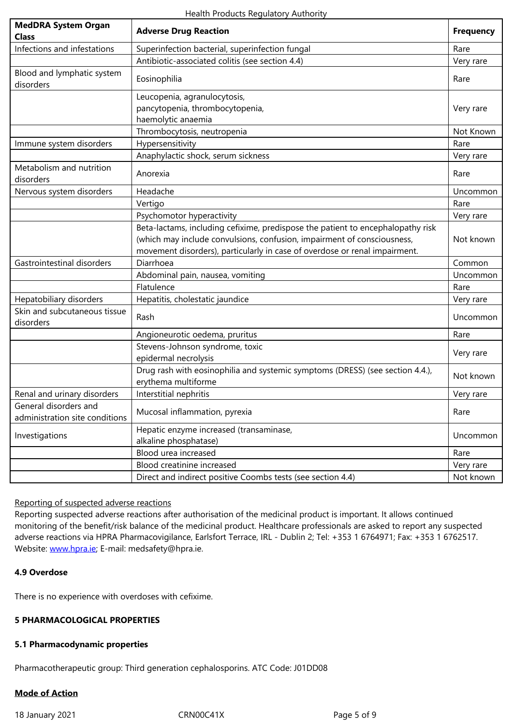| Infections and infestations                             | Superinfection bacterial, superinfection fungal                                                                                                                                                                                          | Rare      |
|---------------------------------------------------------|------------------------------------------------------------------------------------------------------------------------------------------------------------------------------------------------------------------------------------------|-----------|
|                                                         | Antibiotic-associated colitis (see section 4.4)                                                                                                                                                                                          | Very rare |
| Blood and lymphatic system<br>disorders                 | Eosinophilia                                                                                                                                                                                                                             | Rare      |
|                                                         | Leucopenia, agranulocytosis,<br>pancytopenia, thrombocytopenia,<br>haemolytic anaemia                                                                                                                                                    | Very rare |
|                                                         | Thrombocytosis, neutropenia                                                                                                                                                                                                              | Not Known |
| Immune system disorders                                 | Hypersensitivity                                                                                                                                                                                                                         | Rare      |
|                                                         | Anaphylactic shock, serum sickness                                                                                                                                                                                                       | Very rare |
| Metabolism and nutrition<br>disorders                   | Anorexia                                                                                                                                                                                                                                 | Rare      |
| Nervous system disorders                                | Headache                                                                                                                                                                                                                                 | Uncommon  |
|                                                         | Vertigo                                                                                                                                                                                                                                  | Rare      |
|                                                         | Psychomotor hyperactivity                                                                                                                                                                                                                | Very rare |
|                                                         | Beta-lactams, including cefixime, predispose the patient to encephalopathy risk<br>(which may include convulsions, confusion, impairment of consciousness,<br>movement disorders), particularly in case of overdose or renal impairment. | Not known |
| Gastrointestinal disorders                              | Diarrhoea                                                                                                                                                                                                                                | Common    |
|                                                         | Abdominal pain, nausea, vomiting                                                                                                                                                                                                         | Uncommon  |
|                                                         | Flatulence                                                                                                                                                                                                                               | Rare      |
| Hepatobiliary disorders                                 | Hepatitis, cholestatic jaundice                                                                                                                                                                                                          | Very rare |
| Skin and subcutaneous tissue<br>disorders               | Rash                                                                                                                                                                                                                                     | Uncommon  |
|                                                         | Angioneurotic oedema, pruritus                                                                                                                                                                                                           | Rare      |
|                                                         | Stevens-Johnson syndrome, toxic<br>epidermal necrolysis                                                                                                                                                                                  | Very rare |
|                                                         | Drug rash with eosinophilia and systemic symptoms (DRESS) (see section 4.4.),<br>erythema multiforme                                                                                                                                     | Not known |
| Renal and urinary disorders                             | Interstitial nephritis                                                                                                                                                                                                                   | Very rare |
| General disorders and<br>administration site conditions | Mucosal inflammation, pyrexia                                                                                                                                                                                                            | Rare      |
| Investigations                                          | Hepatic enzyme increased (transaminase,<br>alkaline phosphatase)                                                                                                                                                                         | Uncommon  |
|                                                         | Blood urea increased                                                                                                                                                                                                                     | Rare      |
|                                                         | Blood creatinine increased                                                                                                                                                                                                               | Very rare |
|                                                         | Direct and indirect positive Coombs tests (see section 4.4)                                                                                                                                                                              | Not known |

## Reporting of suspected adverse reactions

Reporting suspected adverse reactions after authorisation of the medicinal product is important. It allows continued monitoring of the benefit/risk balance of the medicinal product. Healthcare professionals are asked to report any suspected adverse reactions via HPRA Pharmacovigilance, Earlsfort Terrace, IRL - Dublin 2; Tel: +353 1 6764971; Fax: +353 1 6762517. Website: www.hpra.ie; E-mail: medsafety@hpra.ie.

#### **4.9 Overdose**

There is [no experience](http://www.hpra.ie/) with overdoses with cefixime.

## **5 PHARMACOLOGICAL PROPERTIES**

#### **5.1 Pharmacodynamic properties**

Pharmacotherapeutic group: Third generation cephalosporins. ATC Code: J01DD08

# **Mode of Action**

18 January 2021 CRN00C41X Page 5 of 9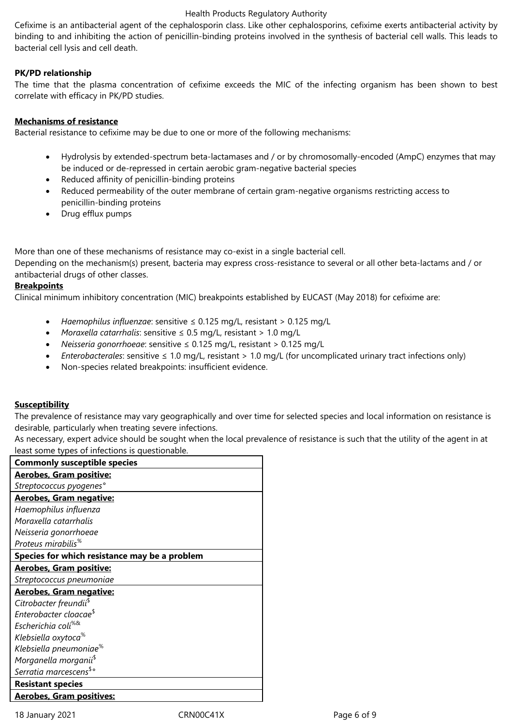#### Health Products Regulatory Authority

Cefixime is an antibacterial agent of the cephalosporin class. Like other cephalosporins, cefixime exerts antibacterial activity by binding to and inhibiting the action of penicillin-binding proteins involved in the synthesis of bacterial cell walls. This leads to bacterial cell lysis and cell death.

## **PK/PD relationship**

The time that the plasma concentration of cefixime exceeds the MIC of the infecting organism has been shown to best correlate with efficacy in PK/PD studies.

#### **Mechanisms of resistance**

Bacterial resistance to cefixime may be due to one or more of the following mechanisms:

- Hydrolysis by extended-spectrum beta-lactamases and / or by chromosomally-encoded (AmpC) enzymes that may be induced or de-repressed in certain aerobic gram-negative bacterial species
- Reduced affinity of penicillin-binding proteins
- Reduced permeability of the outer membrane of certain gram-negative organisms restricting access to penicillin-binding proteins
- Drug efflux pumps

More than one of these mechanisms of resistance may co-exist in a single bacterial cell.

Depending on the mechanism(s) present, bacteria may express cross-resistance to several or all other beta-lactams and / or antibacterial drugs of other classes.

#### **Breakpoints**

Clinical minimum inhibitory concentration (MIC) breakpoints established by EUCAST (May 2018) for cefixime are:

- *Haemophilus influenzae*: sensitive ≤ 0.125 mg/L, resistant > 0.125 mg/L
- *Moraxella catarrhalis*: sensitive ≤ 0.5 mg/L, resistant > 1.0 mg/L
- *Neisseria gonorrhoeae*: sensitive ≤ 0.125 mg/L, resistant > 0.125 mg/L
- *Enterobacterales*: sensitive ≤ 1.0 mg/L, resistant > 1.0 mg/L (for uncomplicated urinary tract infections only)
- Non-species related breakpoints: insufficient evidence.

#### **Susceptibility**

The prevalence of resistance may vary geographically and over time for selected species and local information on resistance is desirable, particularly when treating severe infections.

As necessary, expert advice should be sought when the local prevalence of resistance is such that the utility of the agent in at least some types of infections is questionable.

| <b>Commonly susceptible species</b>           |  |  |
|-----------------------------------------------|--|--|
| <b>Aerobes, Gram positive:</b>                |  |  |
| Streptococcus pyogenes°                       |  |  |
| <b>Aerobes, Gram negative:</b>                |  |  |
| Haemophilus influenza                         |  |  |
| Moraxella catarrhalis                         |  |  |
| Neisseria gonorrhoeae                         |  |  |
| Proteus mirabilis <sup>%</sup>                |  |  |
| Species for which resistance may be a problem |  |  |
| <b>Aerobes, Gram positive:</b>                |  |  |
| Streptococcus pneumoniae                      |  |  |
| <b>Aerobes, Gram negative:</b>                |  |  |
| Citrobacter freundii <sup>\$</sup>            |  |  |
| Enterobacter cloacae <sup>\$</sup>            |  |  |
| Escherichia coli <sup>%&amp;</sup>            |  |  |
| Klebsiella oxytoca <sup>%</sup>               |  |  |
| Klebsiella pneumoniae <sup>%</sup>            |  |  |
| Morganella morganii <sup>\$</sup>             |  |  |
| Serratia marcescens <sup>\$</sup> °           |  |  |
| <b>Resistant species</b>                      |  |  |
| <b>Aerobes, Gram positives:</b>               |  |  |

18 January 2021 CRN00C41X Page 6 of 9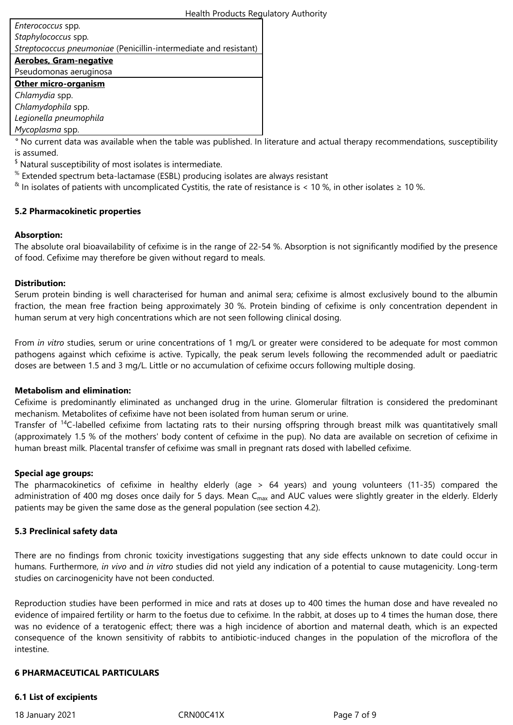| Enterococcus spp.                                                |
|------------------------------------------------------------------|
| Staphylococcus spp.                                              |
| Streptococcus pneumoniae (Penicillin-intermediate and resistant) |
| <b>Aerobes, Gram-negative</b>                                    |
| Pseudomonas aeruginosa                                           |
| <b>Other micro-organism</b>                                      |
| Chlamydia spp.                                                   |
| Chlamydophila spp.                                               |
| Legionella pneumophila                                           |
| Mycoplasma spp.                                                  |

*°* No current data was available when the table was published. In literature and actual therapy recommendations, susceptibility is assumed.

 $$$  Natural susceptibility of most isolates is intermediate.

- $\mathrm{^{\%}}$  Extended spectrum beta-lactamase (ESBL) producing isolates are always resistant
- <sup>&</sup> In isolates of patients with uncomplicated Cystitis, the rate of resistance is < 10 %, in other isolates ≥ 10 %.

## **5.2 Pharmacokinetic properties**

## **Absorption:**

The absolute oral bioavailability of cefixime is in the range of 22-54 %. Absorption is not significantly modified by the presence of food. Cefixime may therefore be given without regard to meals.

#### **Distribution:**

Serum protein binding is well characterised for human and animal sera; cefixime is almost exclusively bound to the albumin fraction, the mean free fraction being approximately 30 %. Protein binding of cefixime is only concentration dependent in human serum at very high concentrations which are not seen following clinical dosing.

From *in vitro* studies, serum or urine concentrations of 1 mg/L or greater were considered to be adequate for most common pathogens against which cefixime is active. Typically, the peak serum levels following the recommended adult or paediatric doses are between 1.5 and 3 mg/L. Little or no accumulation of cefixime occurs following multiple dosing.

#### **Metabolism and elimination:**

Cefixime is predominantly eliminated as unchanged drug in the urine. Glomerular filtration is considered the predominant mechanism. Metabolites of cefixime have not been isolated from human serum or urine.

Transfer of <sup>14</sup>C-labelled cefixime from lactating rats to their nursing offspring through breast milk was quantitatively small (approximately 1.5 % of the mothers' body content of cefixime in the pup). No data are available on secretion of cefixime in human breast milk. Placental transfer of cefixime was small in pregnant rats dosed with labelled cefixime.

#### **Special age groups:**

The pharmacokinetics of cefixime in healthy elderly (age > 64 years) and young volunteers (11-35) compared the administration of 400 mg doses once daily for 5 days. Mean C<sub>max</sub> and AUC values were slightly greater in the elderly. Elderly patients may be given the same dose as the general population (see section 4.2).

#### **5.3 Preclinical safety data**

There are no findings from chronic toxicity investigations suggesting that any side effects unknown to date could occur in humans. Furthermore, *in vivo* and *in vitro* studies did not yield any indication of a potential to cause mutagenicity. Long-term studies on carcinogenicity have not been conducted.

Reproduction studies have been performed in mice and rats at doses up to 400 times the human dose and have revealed no evidence of impaired fertility or harm to the foetus due to cefixime. In the rabbit, at doses up to 4 times the human dose, there was no evidence of a teratogenic effect; there was a high incidence of abortion and maternal death, which is an expected consequence of the known sensitivity of rabbits to antibiotic-induced changes in the population of the microflora of the intestine.

#### **6 PHARMACEUTICAL PARTICULARS**

#### **6.1 List of excipients**

18 January 2021 CRN00C41X Page 7 of 9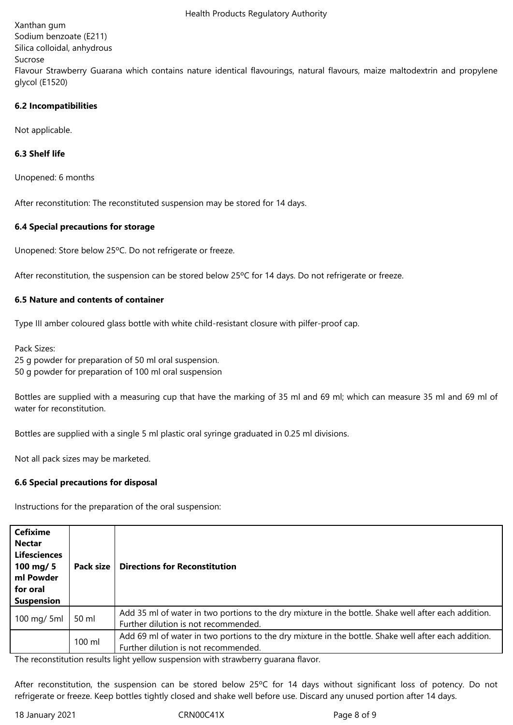Xanthan gum Sodium benzoate (E211) Silica colloidal, anhydrous Sucrose Flavour Strawberry Guarana which contains nature identical flavourings, natural flavours, maize maltodextrin and propylene glycol (E1520)

## **6.2 Incompatibilities**

Not applicable.

## **6.3 Shelf life**

Unopened: 6 months

After reconstitution: The reconstituted suspension may be stored for 14 days.

## **6.4 Special precautions for storage**

Unopened: Store below 25ºC. Do not refrigerate or freeze.

After reconstitution, the suspension can be stored below 25ºC for 14 days. Do not refrigerate or freeze.

## **6.5 Nature and contents of container**

Type III amber coloured glass bottle with white child-resistant closure with pilfer-proof cap.

Pack Sizes: 25 g powder for preparation of 50 ml oral suspension. 50 g powder for preparation of 100 ml oral suspension

Bottles are supplied with a measuring cup that have the marking of 35 ml and 69 ml; which can measure 35 ml and 69 ml of water for reconstitution.

Bottles are supplied with a single 5 ml plastic oral syringe graduated in 0.25 ml divisions.

Not all pack sizes may be marketed.

## **6.6 Special precautions for disposal**

Instructions for the preparation of the oral suspension:

| <b>Cefixime</b><br><b>Nectar</b><br><b>Lifesciences</b><br>100 mg/ 5<br>ml Powder<br>for oral<br><b>Suspension</b> | Pack size | <b>Directions for Reconstitution</b>                                                                                                         |
|--------------------------------------------------------------------------------------------------------------------|-----------|----------------------------------------------------------------------------------------------------------------------------------------------|
| 100 mg/ 5ml                                                                                                        | 50 ml     | Add 35 ml of water in two portions to the dry mixture in the bottle. Shake well after each addition.<br>Further dilution is not recommended. |
|                                                                                                                    | 100 ml    | Add 69 ml of water in two portions to the dry mixture in the bottle. Shake well after each addition.<br>Further dilution is not recommended. |

The reconstitution results light yellow suspension with strawberry guarana flavor.

After reconstitution, the suspension can be stored below 25ºC for 14 days without significant loss of potency. Do not refrigerate or freeze. Keep bottles tightly closed and shake well before use. Discard any unused portion after 14 days.